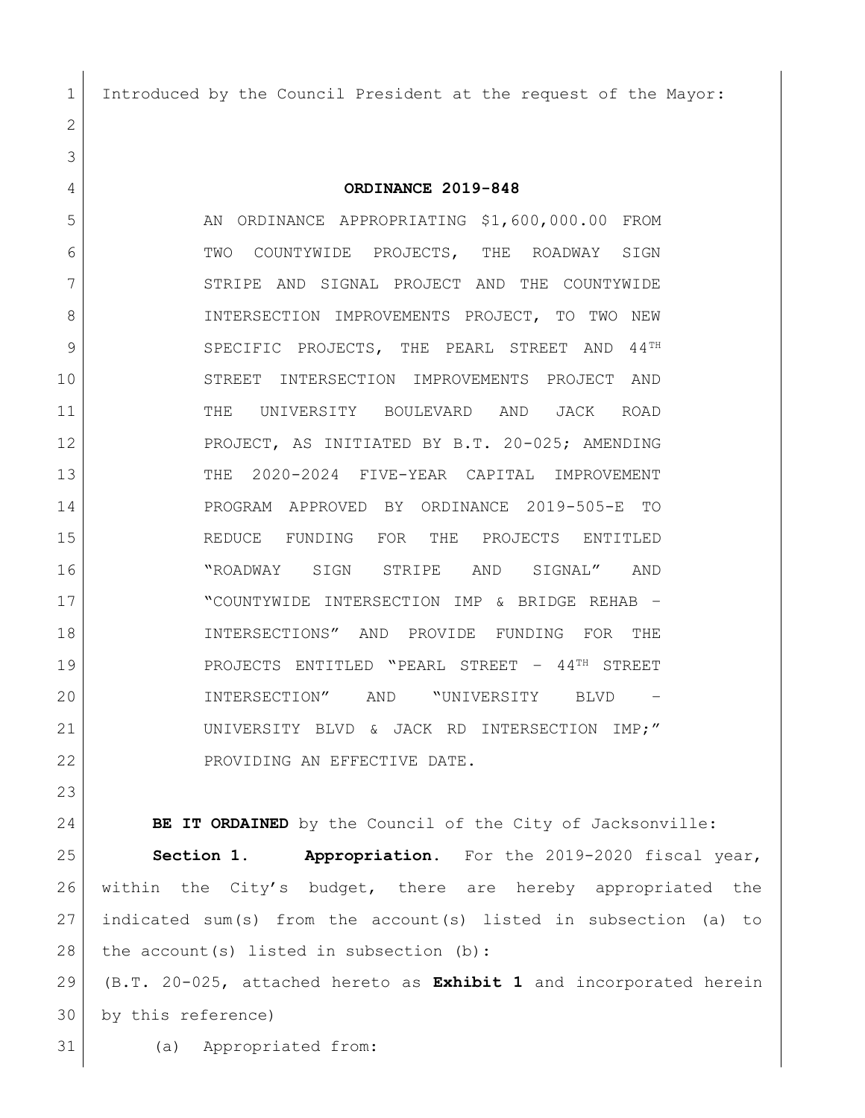Introduced by the Council President at the request of the Mayor:

**ORDINANCE 2019-848**

5 AN ORDINANCE APPROPRIATING \$1,600,000.00 FROM 6 TWO COUNTYWIDE PROJECTS, THE ROADWAY SIGN 7 STRIPE AND SIGNAL PROJECT AND THE COUNTYWIDE 8 INTERSECTION IMPROVEMENTS PROJECT, TO TWO NEW 9 SPECIFIC PROJECTS, THE PEARL STREET AND 44<sup>TH</sup> STREET INTERSECTION IMPROVEMENTS PROJECT AND THE UNIVERSITY BOULEVARD AND JACK ROAD 12 PROJECT, AS INITIATED BY B.T. 20-025; AMENDING THE 2020-2024 FIVE-YEAR CAPITAL IMPROVEMENT PROGRAM APPROVED BY ORDINANCE 2019-505-E TO REDUCE FUNDING FOR THE PROJECTS ENTITLED "ROADWAY SIGN STRIPE AND SIGNAL" AND "COUNTYWIDE INTERSECTION IMP & BRIDGE REHAB – INTERSECTIONS" AND PROVIDE FUNDING FOR THE 19 | PROJECTS ENTITLED "PEARL STREET - 44<sup>TH</sup> STREET INTERSECTION" AND "UNIVERSITY BLVD – 21 UNIVERSITY BLVD & JACK RD INTERSECTION IMP;" 22 PROVIDING AN EFFECTIVE DATE.

**BE IT ORDAINED** by the Council of the City of Jacksonville:

 **Section 1. Appropriation.** For the 2019-2020 fiscal year, within the City's budget, there are hereby appropriated the indicated sum(s) from the account(s) listed in subsection (a) to 28 the account(s) listed in subsection  $(b)$ :

 (B.T. 20-025, attached hereto as **Exhibit 1** and incorporated herein by this reference)

(a) Appropriated from: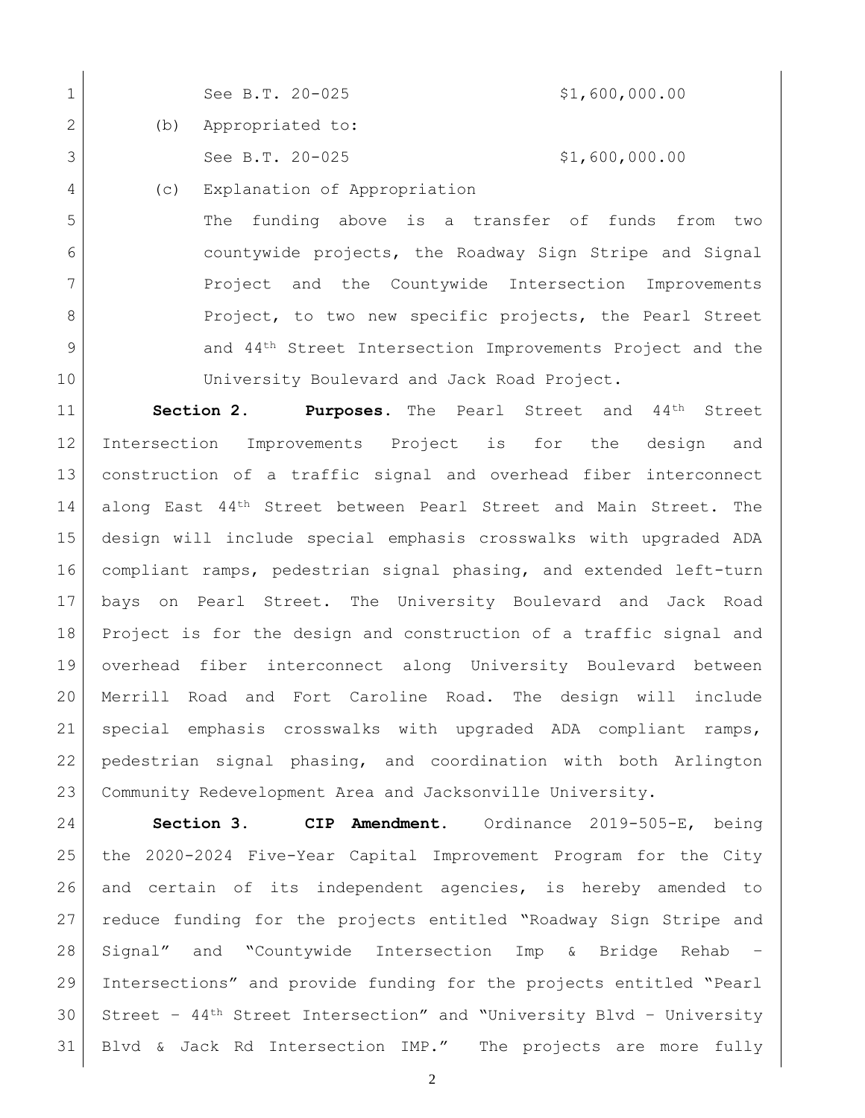|   | See B.T. 20-025      | \$1,600,000.00 |
|---|----------------------|----------------|
| 2 | (b) Appropriated to: |                |
| 3 | See B.T. $20-025$    | \$1,600,000.00 |

(c) Explanation of Appropriation

 $\overline{\phantom{a}}$ 

 The funding above is a transfer of funds from two countywide projects, the Roadway Sign Stripe and Signal 7 Project and the Countywide Intersection Improvements 8 Project, to two new specific projects, the Pearl Street 9 and 44<sup>th</sup> Street Intersection Improvements Project and the University Boulevard and Jack Road Project.

 **Section 2. Purposes.** The Pearl Street and 44th Street Intersection Improvements Project is for the design and construction of a traffic signal and overhead fiber interconnect 14 along East 44<sup>th</sup> Street between Pearl Street and Main Street. The design will include special emphasis crosswalks with upgraded ADA compliant ramps, pedestrian signal phasing, and extended left-turn bays on Pearl Street. The University Boulevard and Jack Road Project is for the design and construction of a traffic signal and overhead fiber interconnect along University Boulevard between Merrill Road and Fort Caroline Road. The design will include special emphasis crosswalks with upgraded ADA compliant ramps, pedestrian signal phasing, and coordination with both Arlington Community Redevelopment Area and Jacksonville University.

 **Section 3. CIP Amendment.** Ordinance 2019-505-E, being the 2020-2024 Five-Year Capital Improvement Program for the City and certain of its independent agencies, is hereby amended to reduce funding for the projects entitled "Roadway Sign Stripe and Signal" and "Countywide Intersection Imp & Bridge Rehab – Intersections" and provide funding for the projects entitled "Pearl Street – 44th Street Intersection" and "University Blvd – University Blvd & Jack Rd Intersection IMP." The projects are more fully